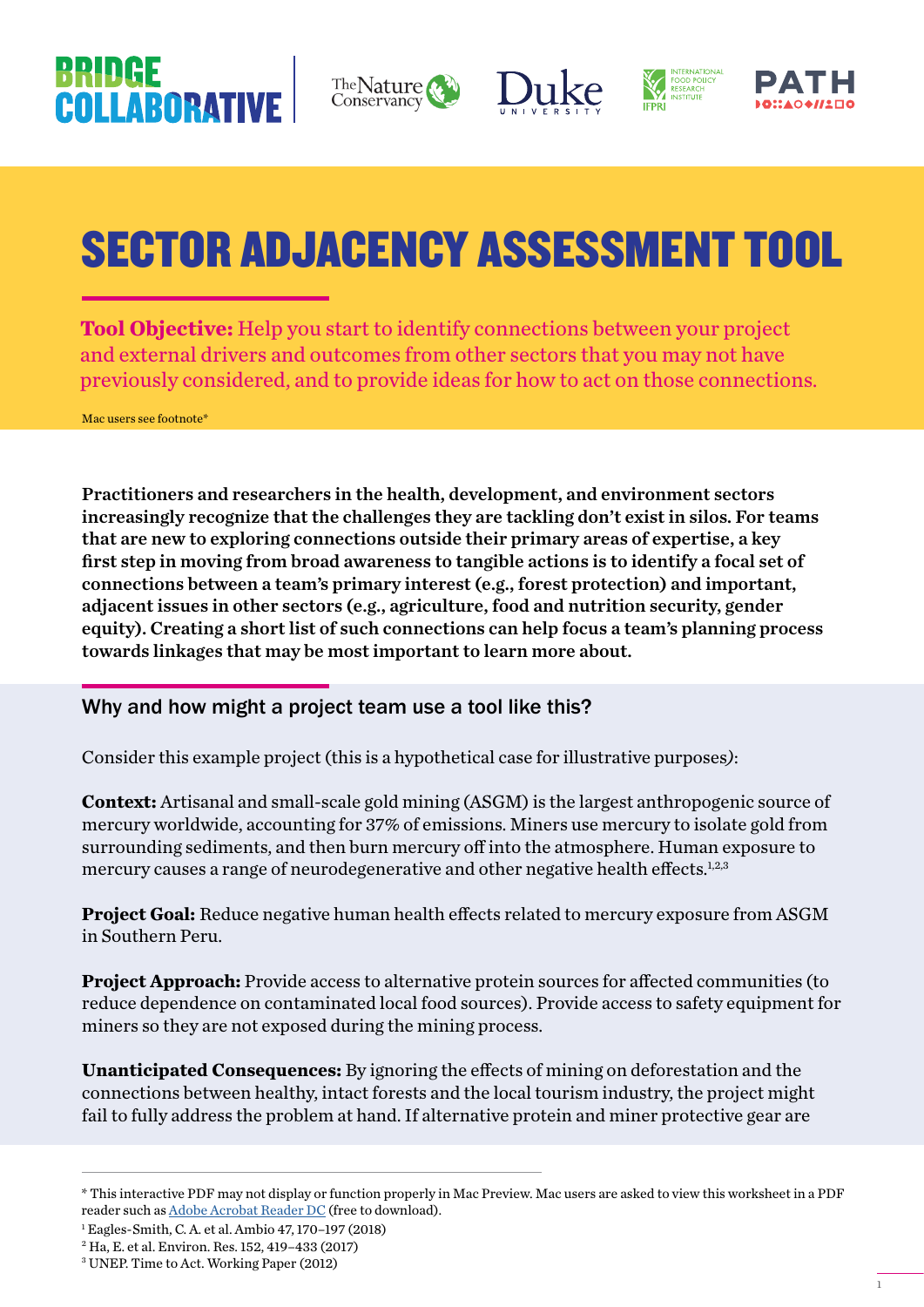# COLLARORATIV









# SECTOR ADJACENCY ASSESSMENT TOOL

**Tool Objective:** Help you start to identify connections between your project and external drivers and outcomes from other sectors that you may not have previously considered, and to provide ideas for how to act on those connections.

Mac users see footnote\*

Practitioners and researchers in the health, development, and environment sectors increasingly recognize that the challenges they are tackling don't exist in silos. For teams that are new to exploring connections outside their primary areas of expertise, a key first step in moving from broad awareness to tangible actions is to identify a focal set of connections between a team's primary interest (e.g., forest protection) and important, adjacent issues in other sectors (e.g., agriculture, food and nutrition security, gender equity). Creating a short list of such connections can help focus a team's planning process towards linkages that may be most important to learn more about.

# Why and how might a project team use a tool like this?

Consider this example project (this is a hypothetical case for illustrative purposes*)*:

**Context:** Artisanal and small-scale gold mining (ASGM) is the largest anthropogenic source of mercury worldwide, accounting for 37% of emissions. Miners use mercury to isolate gold from surrounding sediments, and then burn mercury off into the atmosphere. Human exposure to mercury causes a range of neurodegenerative and other negative health effects. $12.3$ 

**Project Goal:** Reduce negative human health effects related to mercury exposure from ASGM in Southern Peru.

**Project Approach:** Provide access to alternative protein sources for affected communities (to reduce dependence on contaminated local food sources). Provide access to safety equipment for miners so they are not exposed during the mining process.

**Unanticipated Consequences:** By ignoring the effects of mining on deforestation and the connections between healthy, intact forests and the local tourism industry, the project might fail to fully address the problem at hand. If alternative protein and miner protective gear are

<sup>\*</sup> This interactive PDF may not display or function properly in Mac Preview. Mac users are asked to view this worksheet in a PDF reader such as [Adobe Acrobat Reader DC](https://get.adobe.com/uk/reader/?promoid=KSWLH) (free to download).

<sup>1</sup> Eagles-Smith, C. A. et al. Ambio 47, 170–197 (2018)

<sup>2</sup> Ha, E. et al. Environ. Res. 152, 419–433 (2017)

<sup>3</sup> UNEP. Time to Act. Working Paper (2012)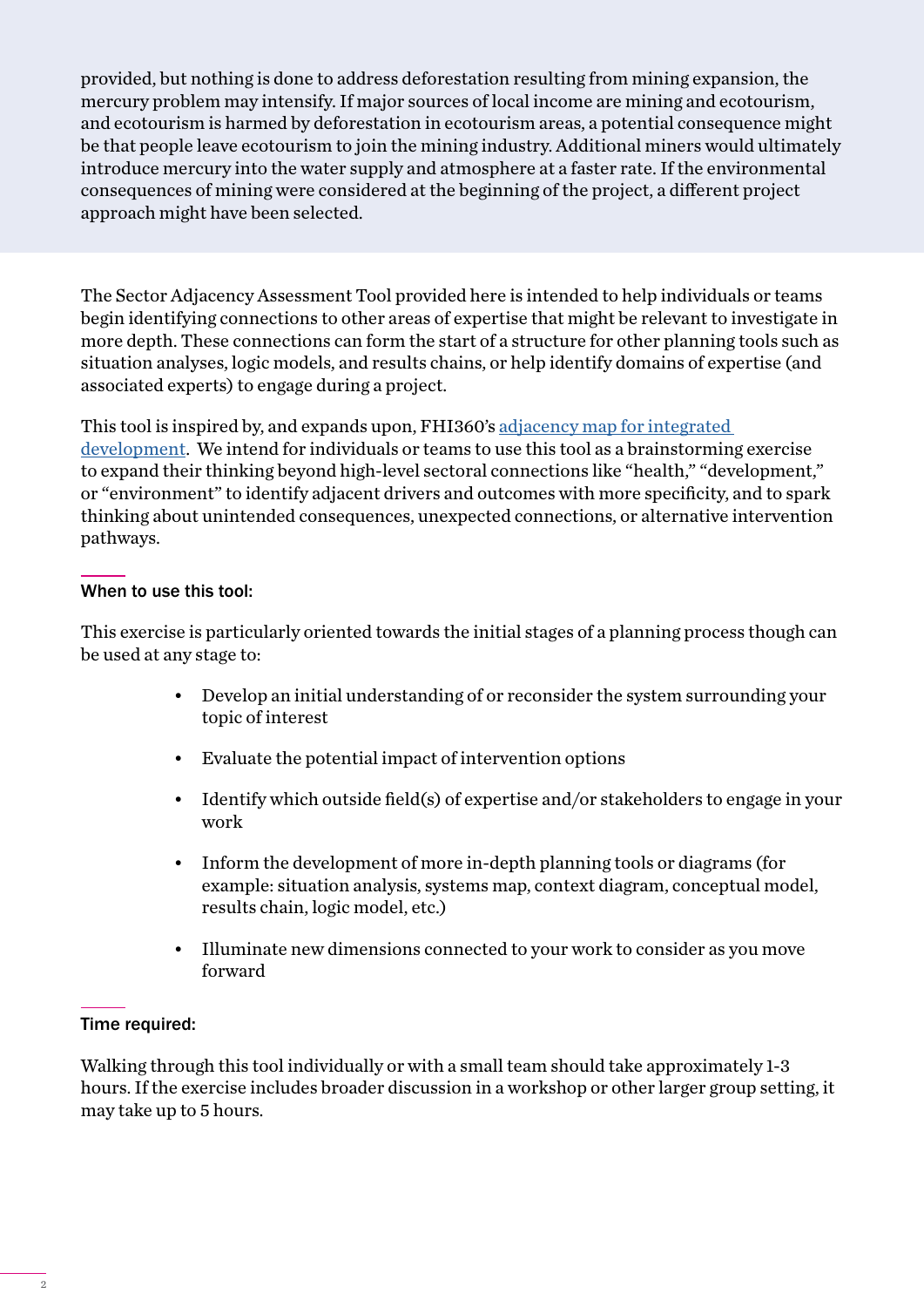provided, but nothing is done to address deforestation resulting from mining expansion, the mercury problem may intensify. If major sources of local income are mining and ecotourism, and ecotourism is harmed by deforestation in ecotourism areas, a potential consequence might be that people leave ecotourism to join the mining industry. Additional miners would ultimately introduce mercury into the water supply and atmosphere at a faster rate. If the environmental consequences of mining were considered at the beginning of the project, a different project approach might have been selected.

The Sector Adjacency Assessment Tool provided here is intended to help individuals or teams begin identifying connections to other areas of expertise that might be relevant to investigate in more depth. These connections can form the start of a structure for other planning tools such as situation analyses, logic models, and results chains, or help identify domains of expertise (and associated experts) to engage during a project.

This tool is inspired by, and expands upon, FHI360's [adjacency map for integrated](https://www.fhi360.org/sites/default/files/media/documents/resource-id-map-adjacency.pdf)  [development.](https://www.fhi360.org/sites/default/files/media/documents/resource-id-map-adjacency.pdf) We intend for individuals or teams to use this tool as a brainstorming exercise to expand their thinking beyond high-level sectoral connections like "health," "development," or "environment" to identify adjacent drivers and outcomes with more specificity, and to spark thinking about unintended consequences, unexpected connections, or alternative intervention pathways.

### When to use this tool:

This exercise is particularly oriented towards the initial stages of a planning process though can be used at any stage to:

- Develop an initial understanding of or reconsider the system surrounding your topic of interest
- Evaluate the potential impact of intervention options
- Identify which outside field(s) of expertise and/or stakeholders to engage in your work
- Inform the development of more in-depth planning tools or diagrams (for example: situation analysis, systems map, context diagram, conceptual model, results chain, logic model, etc.)
- Illuminate new dimensions connected to your work to consider as you move forward

### Time required:

Walking through this tool individually or with a small team should take approximately 1-3 hours. If the exercise includes broader discussion in a workshop or other larger group setting, it may take up to 5 hours.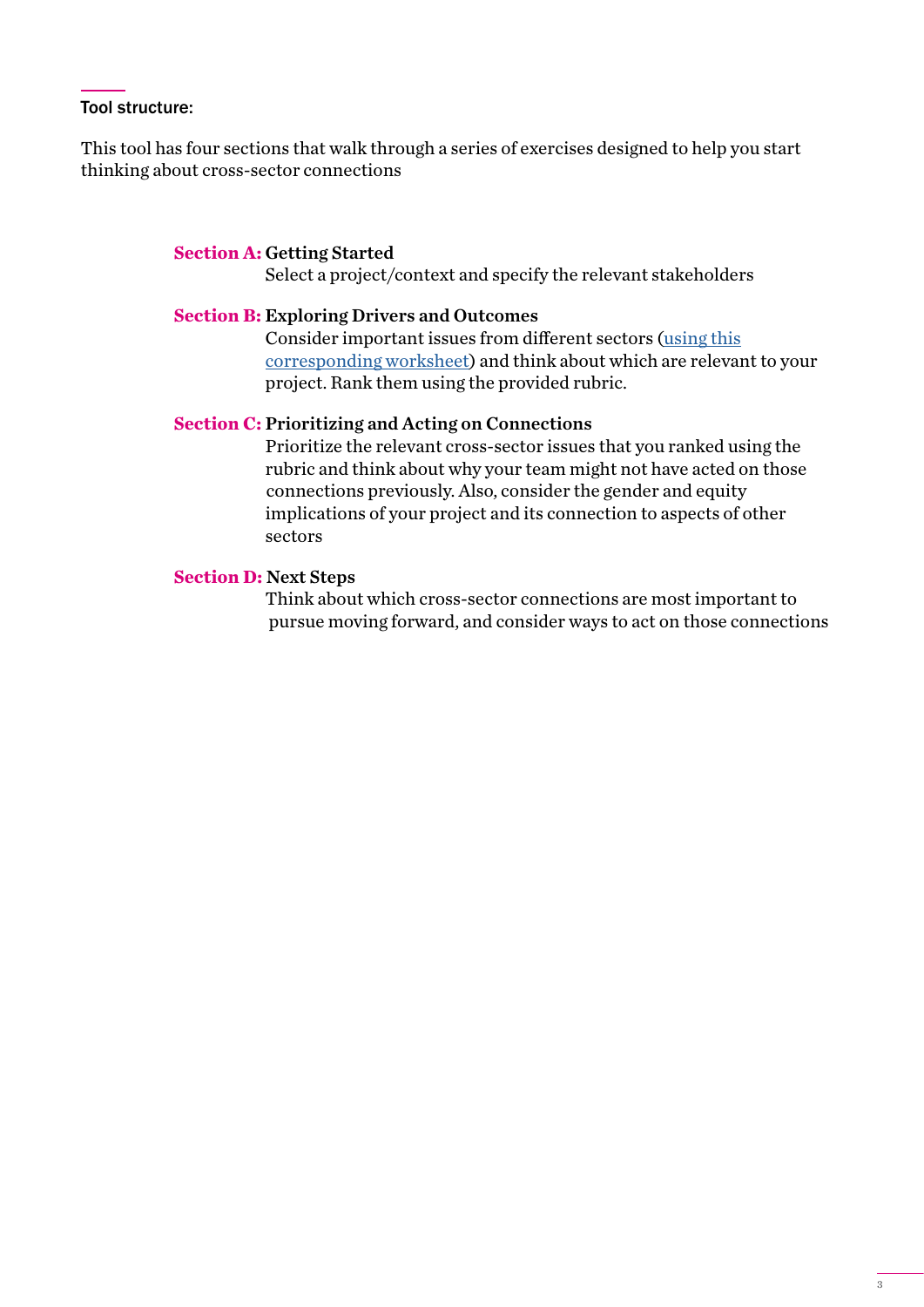#### Tool structure:

This tool has four sections that walk through a series of exercises designed to help you start thinking about cross-sector connections

#### **Section A:** Getting Started

Select a project/context and specify the relevant stakeholders

#### **Section B:** Exploring Drivers and Outcomes

 Consider important issues from different sectors ([using this](https://nicholasinstitute.duke.edu/sites/default/files/bridge-collaborative/Sector-Adjacency-Tables-2019.pdf)   [corresponding worksheet](https://nicholasinstitute.duke.edu/sites/default/files/bridge-collaborative/Sector-Adjacency-Tables-2019.pdf)) and think about which are relevant to your project. Rank them using the provided rubric.

#### **Section C:** Prioritizing and Acting on Connections

 Prioritize the relevant cross-sector issues that you ranked using the rubric and think about why your team might not have acted on those connections previously. Also, consider the gender and equity implications of your project and its connection to aspects of other sectors

#### **Section D:** Next Steps

 Think about which cross-sector connections are most important to pursue moving forward, and consider ways to act on those connections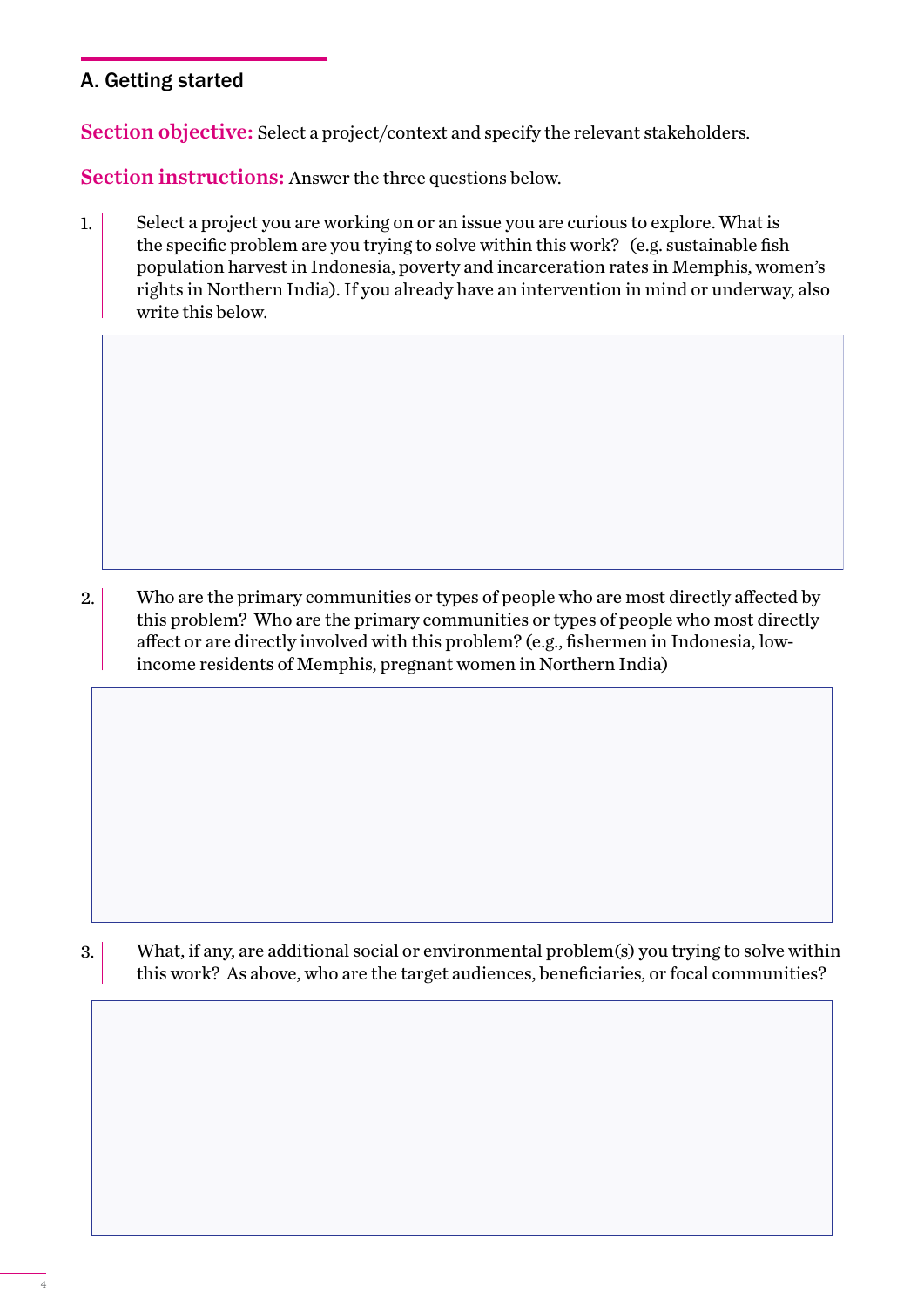# A. Getting started

Section objective: Select a project/context and specify the relevant stakeholders.

Section instructions: Answer the three questions below.

Select a project you are working on or an issue you are curious to explore. What is the specific problem are you trying to solve within this work? (e.g. sustainable fish population harvest in Indonesia, poverty and incarceration rates in Memphis, women's rights in Northern India). If you already have an intervention in mind or underway, also write this below. 1.

Who are the primary communities or types of people who are most directly affected by this problem? Who are the primary communities or types of people who most directly affect or are directly involved with this problem? (e.g., fishermen in Indonesia, lowincome residents of Memphis, pregnant women in Northern India) 2.

What, if any, are additional social or environmental problem(s) you trying to solve within this work? As above, who are the target audiences, beneficiaries, or focal communities? 3.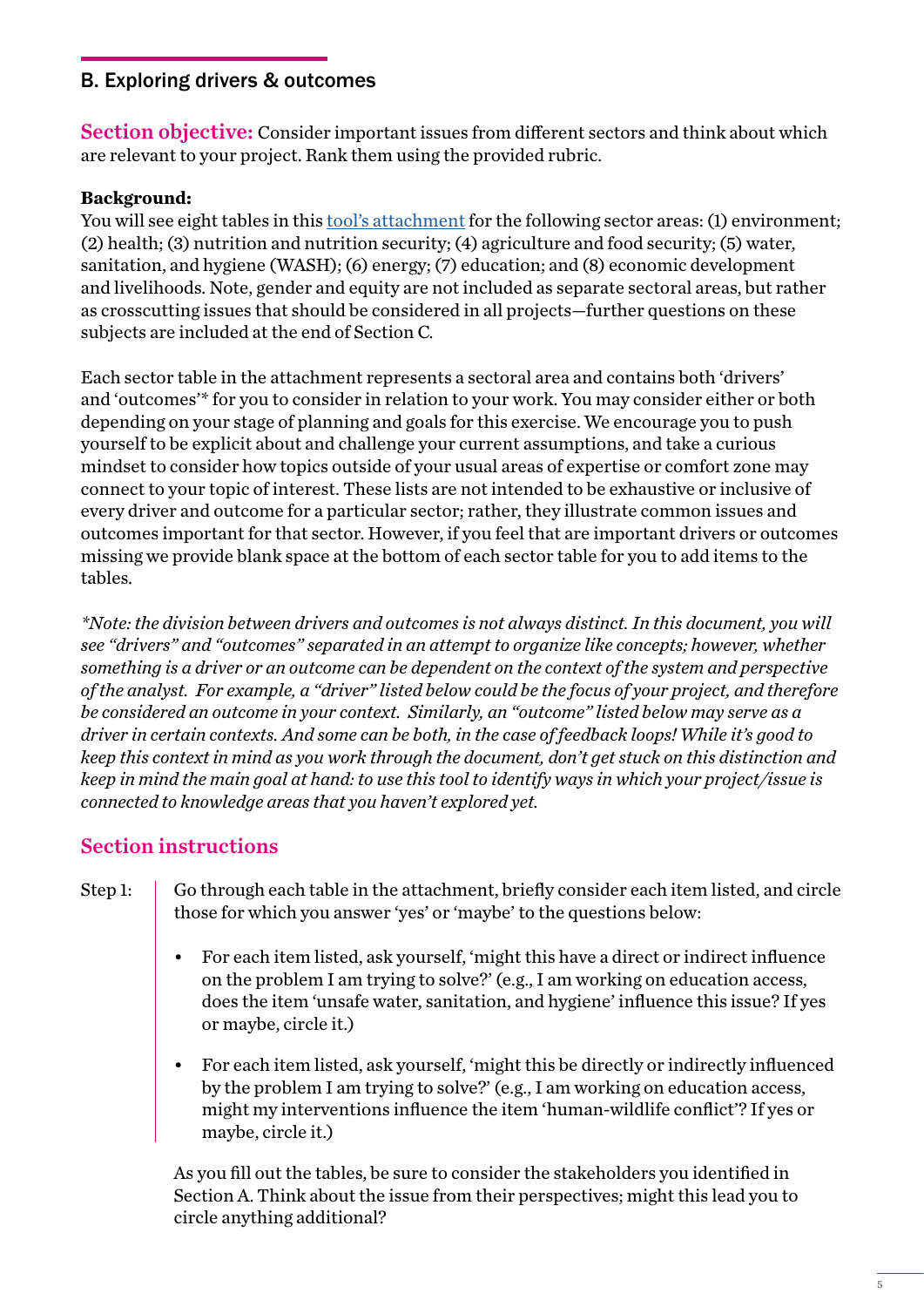# B. Exploring drivers & outcomes

Section objective: Consider important issues from different sectors and think about which are relevant to your project. Rank them using the provided rubric.

### **Background:**

You will see eight tables in this <u>tool's attachment</u> for the following sector areas: (1) environment; (2) health; (3) nutrition and nutrition security; (4) agriculture and food security; (5) water, sanitation, and hygiene (WASH); (6) energy; (7) education; and (8) economic development and livelihoods. Note, gender and equity are not included as separate sectoral areas, but rather as crosscutting issues that should be considered in all projects—further questions on these subjects are included at the end of Section C.

Each sector table in the attachment represents a sectoral area and contains both 'drivers' and 'outcomes'\* for you to consider in relation to your work. You may consider either or both depending on your stage of planning and goals for this exercise. We encourage you to push yourself to be explicit about and challenge your current assumptions, and take a curious mindset to consider how topics outside of your usual areas of expertise or comfort zone may connect to your topic of interest. These lists are not intended to be exhaustive or inclusive of every driver and outcome for a particular sector; rather, they illustrate common issues and outcomes important for that sector. However, if you feel that are important drivers or outcomes missing we provide blank space at the bottom of each sector table for you to add items to the tables.

*\*Note: the division between drivers and outcomes is not always distinct. In this document, you will see "drivers" and "outcomes" separated in an attempt to organize like concepts; however, whether something is a driver or an outcome can be dependent on the context of the system and perspective of the analyst. For example, a "driver" listed below could be the focus of your project, and therefore be considered an outcome in your context. Similarly, an "outcome" listed below may serve as a driver in certain contexts. And some can be both, in the case of feedback loops! While it's good to keep this context in mind as you work through the document, don't get stuck on this distinction and keep in mind the main goal at hand: to use this tool to identify ways in which your project/issue is connected to knowledge areas that you haven't explored yet.*

# Section instructions

- Go through each table in the attachment, briefly consider each item listed, and circle those for which you answer 'yes' or 'maybe' to the questions below: Step 1:
	- For each item listed, ask yourself, 'might this have a direct or indirect influence on the problem I am trying to solve?' (e.g., I am working on education access, does the item 'unsafe water, sanitation, and hygiene' influence this issue? If yes or maybe, circle it.)
	- For each item listed, ask yourself, 'might this be directly or indirectly influenced by the problem I am trying to solve?' (e.g., I am working on education access, might my interventions influence the item 'human-wildlife conflict'? If yes or maybe, circle it.)

As you fill out the tables, be sure to consider the stakeholders you identified in Section A. Think about the issue from their perspectives; might this lead you to circle anything additional?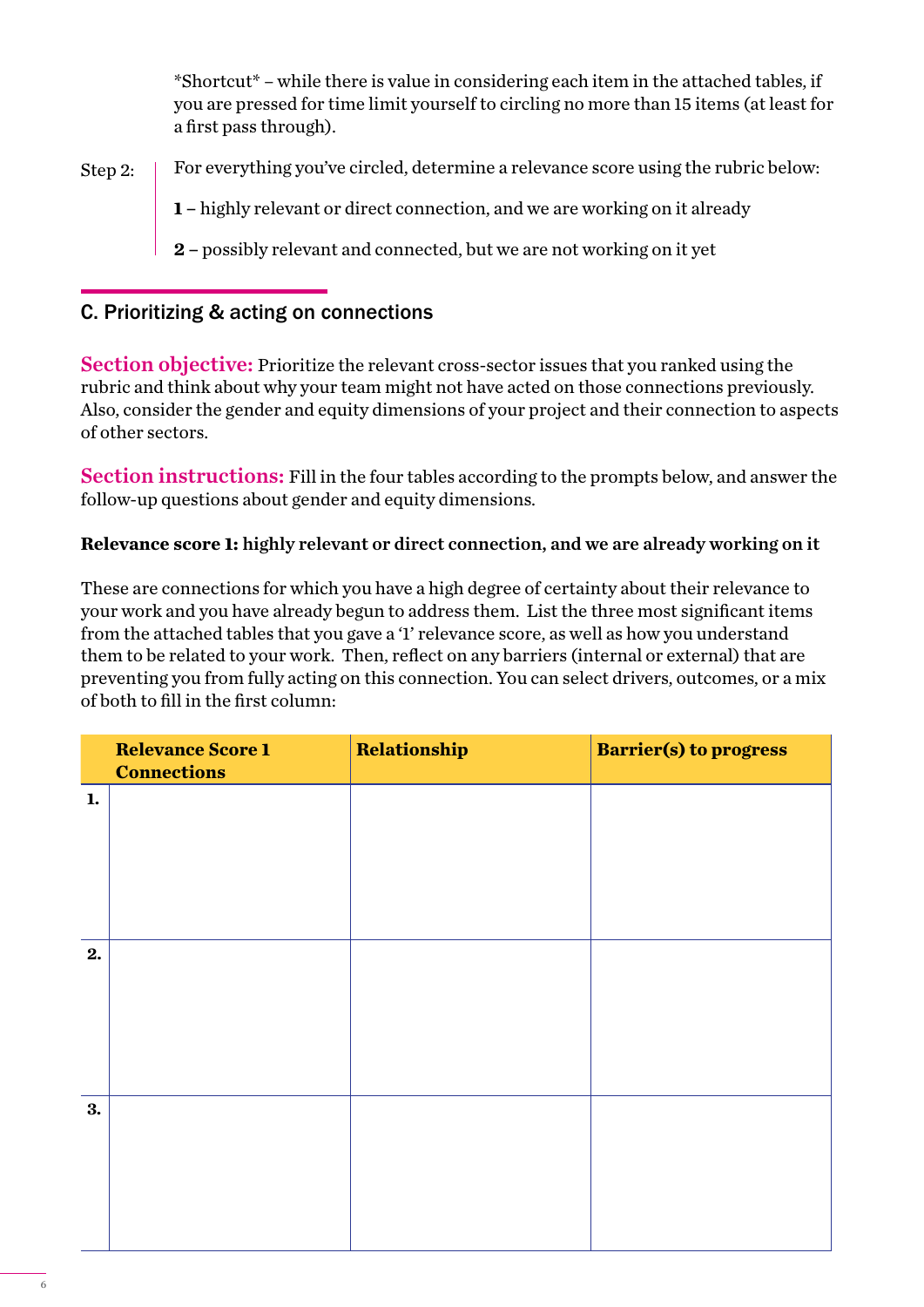\*Shortcut\* – while there is value in considering each item in the attached tables, if you are pressed for time limit yourself to circling no more than 15 items (at least for a first pass through).

For everything you've circled, determine a relevance score using the rubric below: Step 2:

**1 –** highly relevant or direct connection, and we are working on it already

**2 –** possibly relevant and connected, but we are not working on it yet

# C. Prioritizing & acting on connections

Section objective: Prioritize the relevant cross-sector issues that you ranked using the rubric and think about why your team might not have acted on those connections previously. Also, consider the gender and equity dimensions of your project and their connection to aspects of other sectors.

Section instructions: Fill in the four tables according to the prompts below, and answer the follow-up questions about gender and equity dimensions.

# **Relevance score 1:** highly relevant or direct connection, and we are already working on it

These are connections for which you have a high degree of certainty about their relevance to your work and you have already begun to address them. List the three most significant items from the attached tables that you gave a '1' relevance score, as well as how you understand them to be related to your work. Then, reflect on any barriers (internal or external) that are preventing you from fully acting on this connection. You can select drivers, outcomes, or a mix of both to fill in the first column:

|    | <b>Relevance Score 1</b><br><b>Connections</b> | Relationship | <b>Barrier(s) to progress</b> |
|----|------------------------------------------------|--------------|-------------------------------|
| 1. |                                                |              |                               |
|    |                                                |              |                               |
|    |                                                |              |                               |
| 2. |                                                |              |                               |
|    |                                                |              |                               |
|    |                                                |              |                               |
| 3. |                                                |              |                               |
|    |                                                |              |                               |
|    |                                                |              |                               |
|    |                                                |              |                               |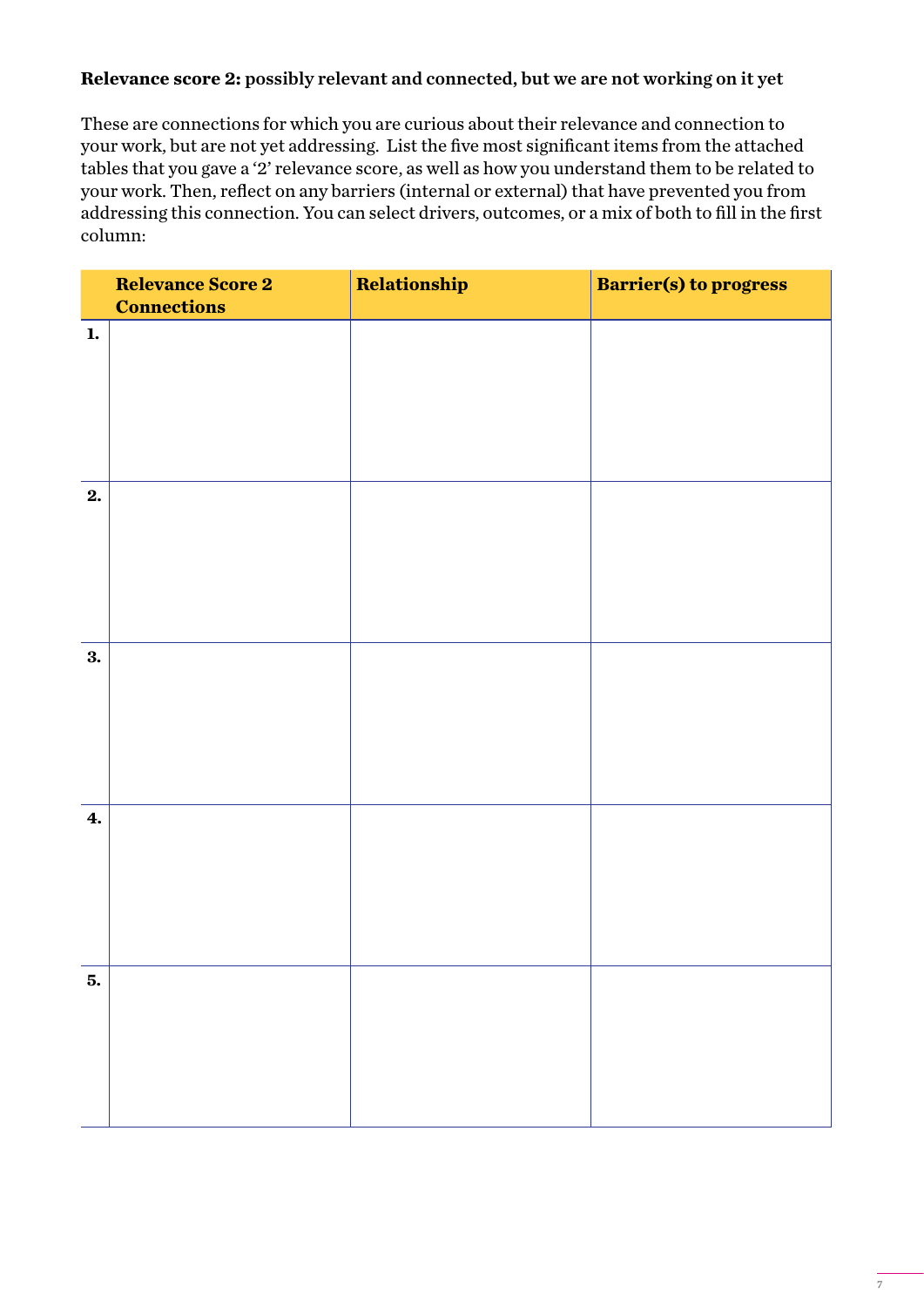# **Relevance score 2:** possibly relevant and connected, but we are not working on it yet

These are connections for which you are curious about their relevance and connection to your work, but are not yet addressing. List the five most significant items from the attached tables that you gave a '2' relevance score, as well as how you understand them to be related to your work. Then, reflect on any barriers (internal or external) that have prevented you from addressing this connection. You can select drivers, outcomes, or a mix of both to fill in the first column:

|              | <b>Relevance Score 2</b><br><b>Connections</b> | Relationship | <b>Barrier(s) to progress</b> |
|--------------|------------------------------------------------|--------------|-------------------------------|
| $\mathbf{1}$ |                                                |              |                               |
| 2.           |                                                |              |                               |
| 3.           |                                                |              |                               |
| 4.           |                                                |              |                               |
| 5.           |                                                |              |                               |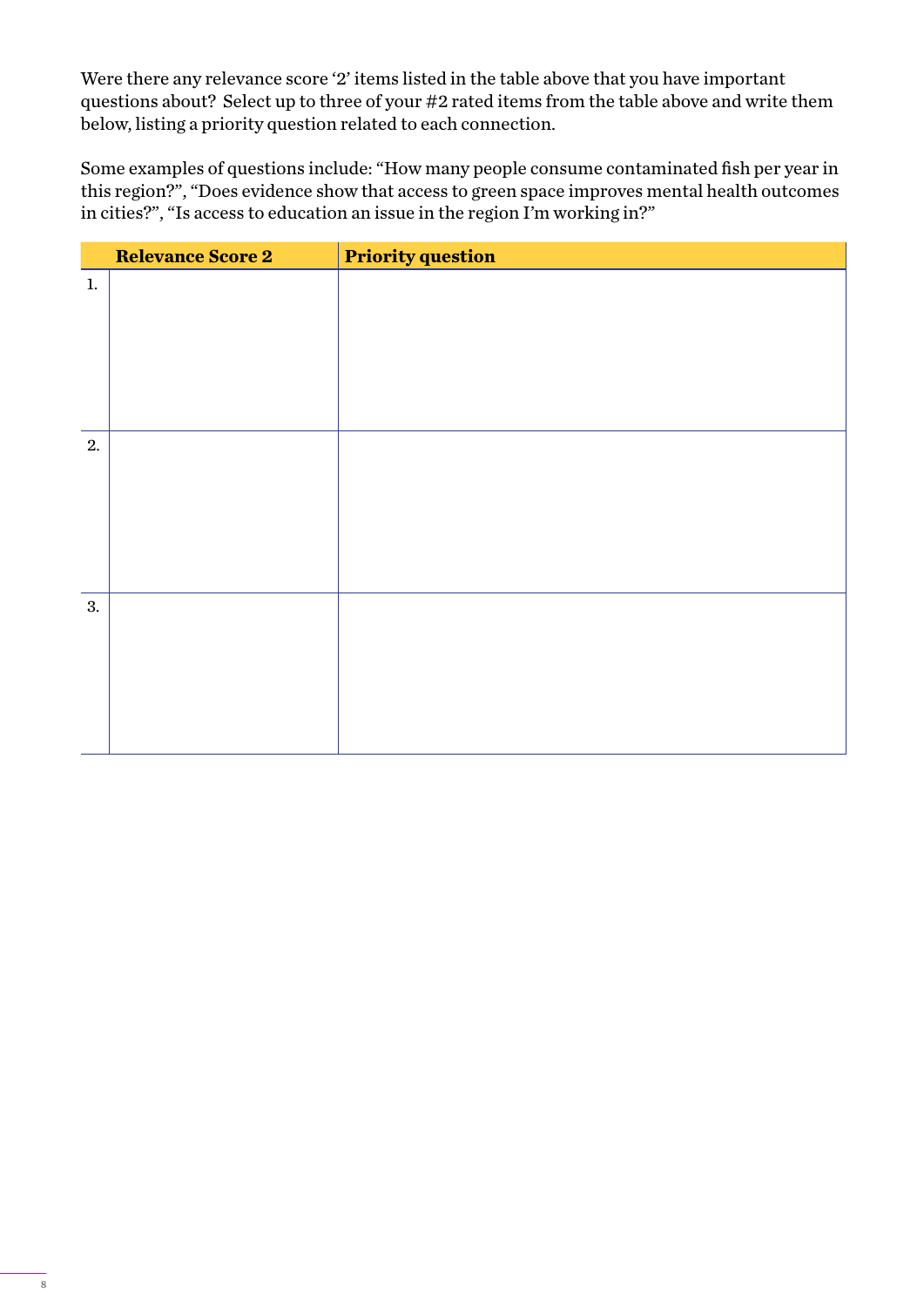Were there any relevance score '2' items listed in the table above that you have important questions about? Select up to three of your #2 rated items from the table above and write them below, listing a priority question related to each connection.

Some examples of questions include: "How many people consume contaminated fish per year in this region?", "Does evidence show that access to green space improves mental health outcomes in cities?", "Is access to education an issue in the region I'm working in?"

|    | <b>Relevance Score 2</b> | <b>Priority question</b> |
|----|--------------------------|--------------------------|
| 1. |                          |                          |
|    |                          |                          |
|    |                          |                          |
|    |                          |                          |
|    |                          |                          |
|    |                          |                          |
| 2. |                          |                          |
|    |                          |                          |
|    |                          |                          |
|    |                          |                          |
|    |                          |                          |
|    |                          |                          |
| 3. |                          |                          |
|    |                          |                          |
|    |                          |                          |
|    |                          |                          |
|    |                          |                          |
|    |                          |                          |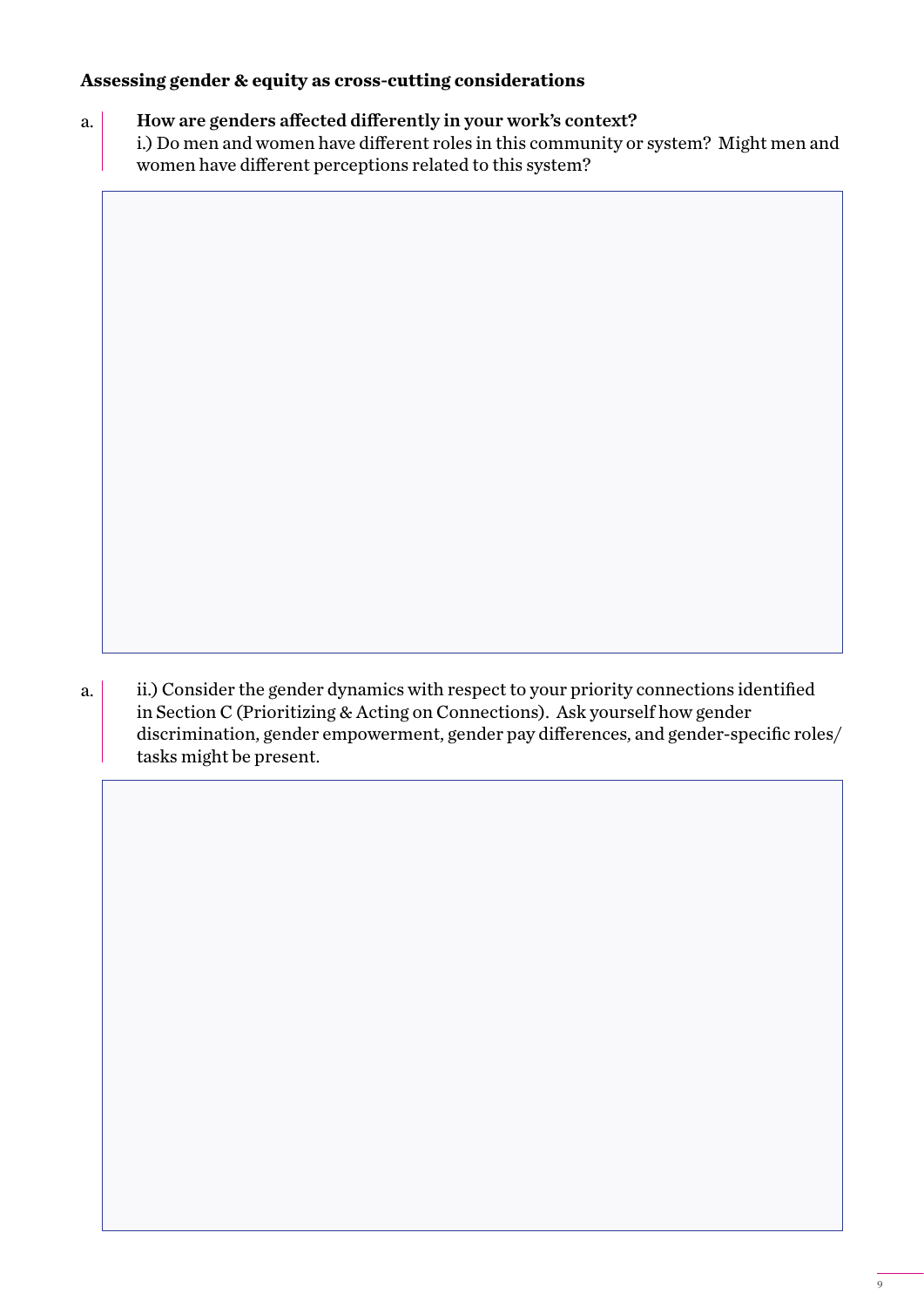# **Assessing gender & equity as cross-cutting considerations**

How are genders affected differently in your work's context? i.) Do men and women have different roles in this community or system? Might men and women have different perceptions related to this system? a.

ii.) Consider the gender dynamics with respect to your priority connections identified in Section C (Prioritizing & Acting on Connections). Ask yourself how gender discrimination, gender empowerment, gender pay differences, and gender-specific roles/ tasks might be present. a.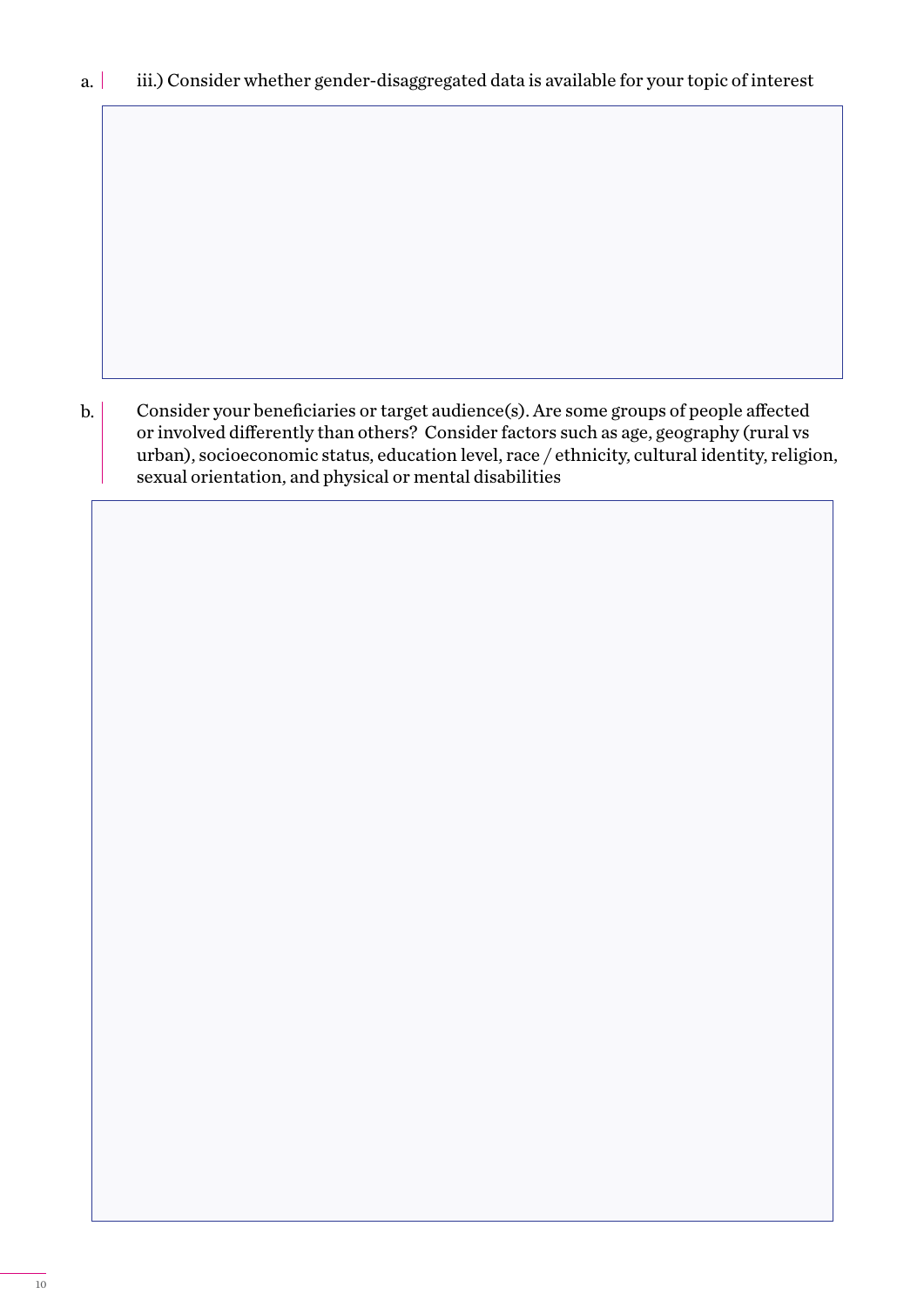Consider your beneficiaries or target audience(s). Are some groups of people affected or involved differently than others? Consider factors such as age, geography (rural vs urban), socioeconomic status, education level, race / ethnicity, cultural identity, religion, sexual orientation, and physical or mental disabilities b.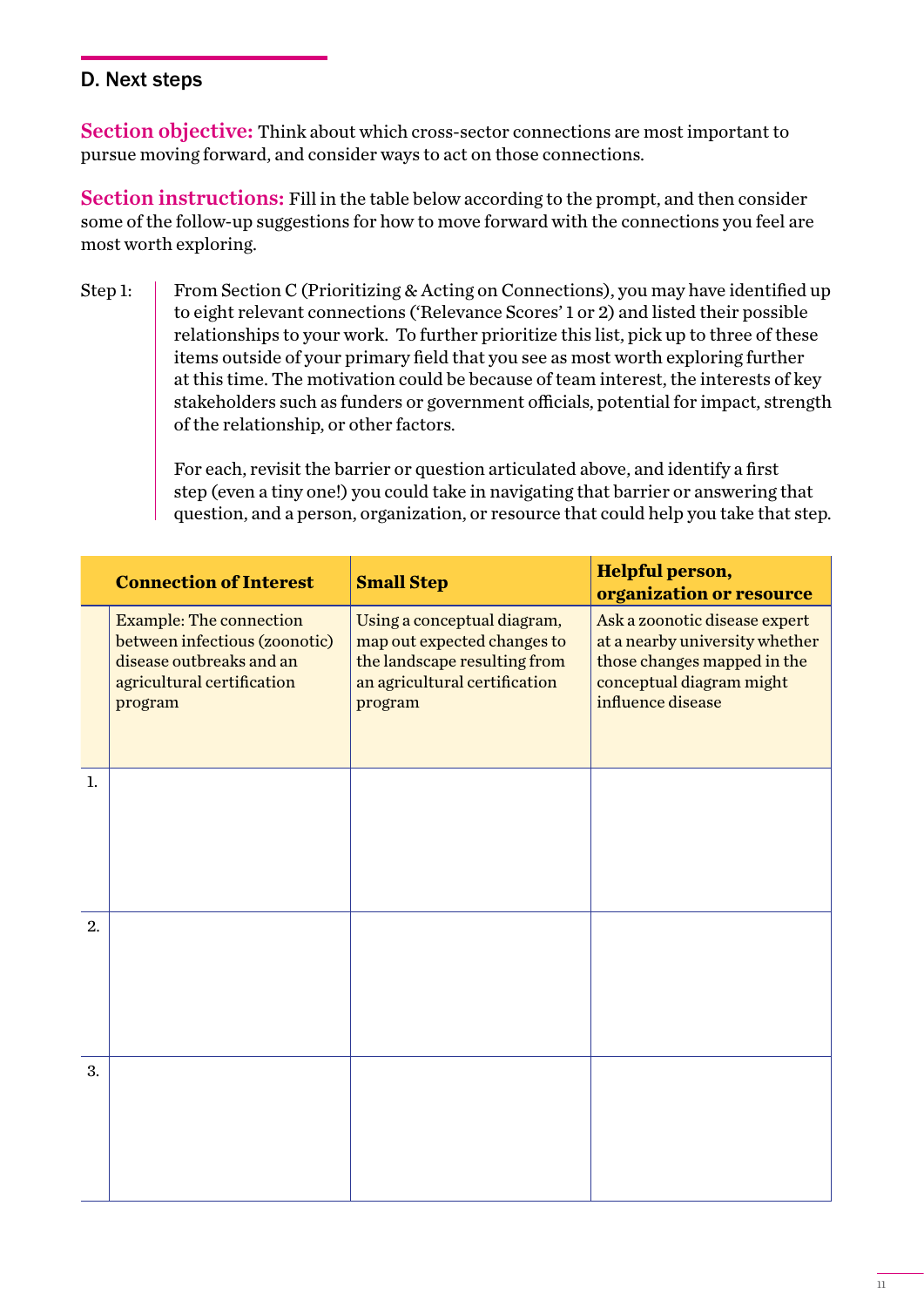# D. Next steps

Section objective: Think about which cross-sector connections are most important to pursue moving forward, and consider ways to act on those connections.

Section instructions: Fill in the table below according to the prompt, and then consider some of the follow-up suggestions for how to move forward with the connections you feel are most worth exploring.

From Section C (Prioritizing & Acting on Connections), you may have identified up to eight relevant connections ('Relevance Scores' 1 or 2) and listed their possible relationships to your work. To further prioritize this list, pick up to three of these items outside of your primary field that you see as most worth exploring further at this time. The motivation could be because of team interest, the interests of key stakeholders such as funders or government officials, potential for impact, strength of the relationship, or other factors. Step 1:

> For each, revisit the barrier or question articulated above, and identify a first step (even a tiny one!) you could take in navigating that barrier or answering that question, and a person, organization, or resource that could help you take that step.

|    | <b>Connection of Interest</b>                                                                                                        | <b>Small Step</b>                                                                                                                      | Helpful person,<br>organization or resource                                                                                                     |
|----|--------------------------------------------------------------------------------------------------------------------------------------|----------------------------------------------------------------------------------------------------------------------------------------|-------------------------------------------------------------------------------------------------------------------------------------------------|
|    | <b>Example: The connection</b><br>between infectious (zoonotic)<br>disease outbreaks and an<br>agricultural certification<br>program | Using a conceptual diagram,<br>map out expected changes to<br>the landscape resulting from<br>an agricultural certification<br>program | Ask a zoonotic disease expert<br>at a nearby university whether<br>those changes mapped in the<br>conceptual diagram might<br>influence disease |
| 1. |                                                                                                                                      |                                                                                                                                        |                                                                                                                                                 |
| 2. |                                                                                                                                      |                                                                                                                                        |                                                                                                                                                 |
| 3. |                                                                                                                                      |                                                                                                                                        |                                                                                                                                                 |